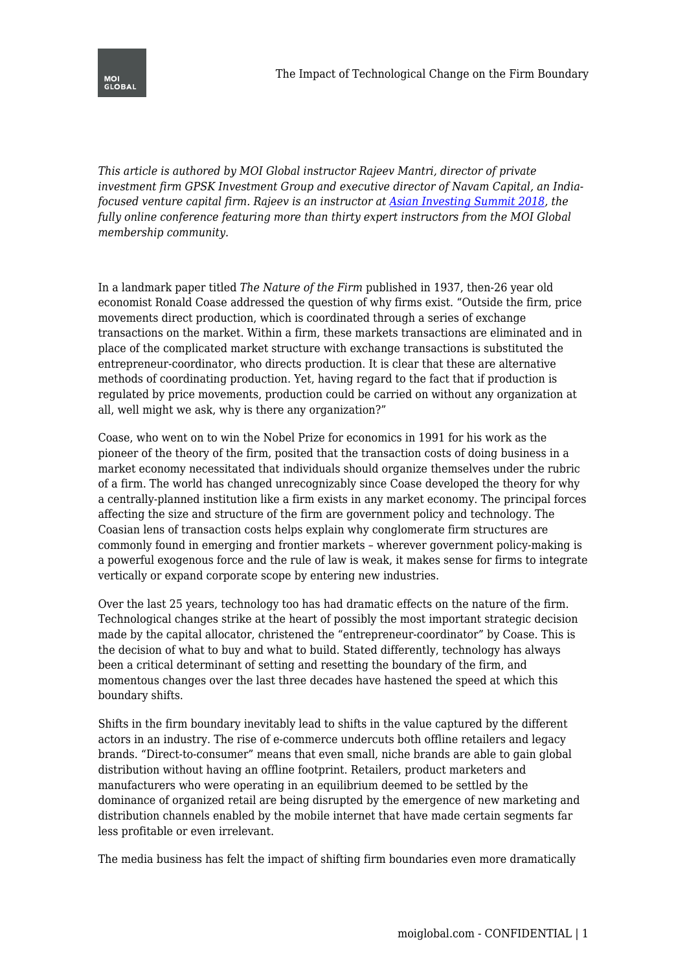*This article is authored by MOI Global instructor Rajeev Mantri, director of private investment firm GPSK Investment Group and executive director of Navam Capital, an Indiafocused venture capital firm. Rajeev is an instructor at [Asian Investing Summit 2018](https://moiglobal.com/asia/), the fully online conference featuring more than thirty expert instructors from the MOI Global membership community.*

In a landmark paper titled *The Nature of the Firm* published in 1937, then-26 year old economist Ronald Coase addressed the question of why firms exist. "Outside the firm, price movements direct production, which is coordinated through a series of exchange transactions on the market. Within a firm, these markets transactions are eliminated and in place of the complicated market structure with exchange transactions is substituted the entrepreneur-coordinator, who directs production. It is clear that these are alternative methods of coordinating production. Yet, having regard to the fact that if production is regulated by price movements, production could be carried on without any organization at all, well might we ask, why is there any organization?"

Coase, who went on to win the Nobel Prize for economics in 1991 for his work as the pioneer of the theory of the firm, posited that the transaction costs of doing business in a market economy necessitated that individuals should organize themselves under the rubric of a firm. The world has changed unrecognizably since Coase developed the theory for why a centrally-planned institution like a firm exists in any market economy. The principal forces affecting the size and structure of the firm are government policy and technology. The Coasian lens of transaction costs helps explain why conglomerate firm structures are commonly found in emerging and frontier markets – wherever government policy-making is a powerful exogenous force and the rule of law is weak, it makes sense for firms to integrate vertically or expand corporate scope by entering new industries.

Over the last 25 years, technology too has had dramatic effects on the nature of the firm. Technological changes strike at the heart of possibly the most important strategic decision made by the capital allocator, christened the "entrepreneur-coordinator" by Coase. This is the decision of what to buy and what to build. Stated differently, technology has always been a critical determinant of setting and resetting the boundary of the firm, and momentous changes over the last three decades have hastened the speed at which this boundary shifts.

Shifts in the firm boundary inevitably lead to shifts in the value captured by the different actors in an industry. The rise of e-commerce undercuts both offline retailers and legacy brands. "Direct-to-consumer" means that even small, niche brands are able to gain global distribution without having an offline footprint. Retailers, product marketers and manufacturers who were operating in an equilibrium deemed to be settled by the dominance of organized retail are being disrupted by the emergence of new marketing and distribution channels enabled by the mobile internet that have made certain segments far less profitable or even irrelevant.

The media business has felt the impact of shifting firm boundaries even more dramatically